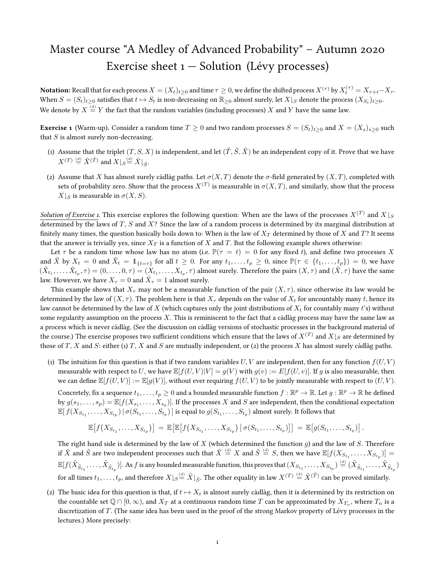# Master course "A Medley of Advanced Probability" – Autumn 2020 Exercise sheet  $1 -$  Solution (Lévy processes)

**Notation:** Recall that for each process  $X=(X_t)_{t\geq 0}$  and time  $\tau\geq 0$ , we define the shifted process  $X^{(\tau)}$  by  $X^{(\tau)}_t=X_{\tau+t}-X_{\tau}.$ When  $S = (S_t)_{t\geq 0}$  satisfies that  $t \mapsto S_t$  is non-decreasing on  $\mathbb{R}_{\geq 0}$  almost surely, let  $X\vert_S$  denote the process  $(X_{S_t})_{t\geq 0}$ . We denote by  $X\stackrel{(d)}{=} Y$  the fact that the random variables (including processes)  $X$  and  $Y$  have the same law.

**Exercise 1** (Warm-up). Consider a random time  $T \ge 0$  and two random processes  $S = (S_t)_{t>0}$  and  $X = (X_s)_{s>0}$  such that  $S$  is almost surely non-decreasing.

- (1) Assume that the triplet  $(T, S, X)$  is independent, and let  $(\tilde{T}, \tilde{S}, \tilde{X})$  be an independent copy of it. Prove that we have  $X^{(T)} \stackrel{\text{{\tiny (d)}}}{=} \tilde{X}^{(\tilde{T})}$  and  $X|_S \stackrel{\text{{\tiny (d)}}}{=} \tilde{X}|_{\tilde{S}}$ .
- (2) Assume that X has almost surely càdlàg paths. Let  $\sigma(X,T)$  denote the  $\sigma$ -field generated by  $(X,T)$ , completed with sets of probability zero. Show that the process  $X^{(T)}$  is measurable in  $\sigma(X,T)$ , and similarly, show that the process  $X|_S$  is measurable in  $\sigma(X, S)$ .

*Solution of Exercise 1*. This exercise explores the following question: When are the laws of the processes  $X^{(T)}$  and  $X\lfloor_S$ determined by the laws of  $T$ ,  $S$  and  $X$ ? Since the law of a random process is determined by its marginal distribution at finitely many times, the question basically boils down to: When is the law of  $X_T$  determined by those of X and T? It seems that the answer is trivially yes, since  $X_T$  is a function of X and T. But the following example shows otherwise:

Let  $\tau$  be a random time whose law has no atom (i.e.  $\mathbb{P}(\tau = t) = 0$  for any fixed t), and define two processes X and  $\tilde{X}$  by  $X_t = 0$  and  $\tilde{X}_t = \mathbb{1}_{\{t=\tau\}}$  for all  $t \geq 0$ . For any  $t_1, \ldots, t_p \geq 0$ , since  $\mathbb{P}(\tau \in \{t_1, \ldots, t_p\}) = 0$ , we have  $(\tilde X_{t_1},\ldots,\tilde X_{t_p},\tau)=(0,\ldots,0,\tau)=(\tilde X_{t_1},\ldots,\tilde X_{t_p},\tau)$  almost surely. Therefore the pairs  $(X,\tau)$  and  $(\tilde X,\tau)$  have the same law. However, we have  $X_\tau=0$  and  $\tilde X_\tau=1$  almost surely.

This example shows that  $X_\tau$  may not be a measurable function of the pair  $(X, \tau)$ , since otherwise its law would be determined by the law of  $(X, \tau)$ . The problem here is that  $X_\tau$  depends on the value of  $X_t$  for uncountably many t, hence its law cannot be determined by the law of X (which captures only the joint distributions of  $X_t$  for countably many t's) without some regularity assumption on the process  $X$ . This is reminiscent to the fact that a càdlàg process may have the same law as a process which is never càdlàg. (See the discussion on càdlàg versions of stochastic processes in the background material of the course.) The exercise proposes two sufficient conditions which ensure that the laws of  $X^{(T)}$  and  $X\vert_S$  are determined by those of T, X and S: either (1) T, X and S are mutually independent, or (2) the process X has almost surely càdlàg paths.

(1) The intuition for this question is that if two random variables U, V are independent, then for any function  $f(U, V)$ measurable with respect to U, we have  $\mathbb{E}[f(U, V)|V] = g(V)$  with  $g(v) := E[f(U, v)]$ . If g is also measurable, then we can define  $\mathbb{E}[f(U, V)] := \mathbb{E}[g(V)]$ , without ever requiring  $f(U, V)$  to be jointly measurable with respect to  $(U, V)$ .

Concretely, fix a sequence  $t_1,\ldots,t_p\geq 0$  and a bounded measurable function  $f:\mathbb{R}^p\to\mathbb{R}$ . Let  $g:\mathbb{R}^p\to\mathbb{R}$  be defined by  $g(s_1,\ldots,s_p) = \mathbb{E}[f(X_{s_1},\ldots,X_{s_p})]$ . If the processes  $X$  and  $S$  are independent, then the conditional expectation  $\mathbb{E}[\,f(X_{S_{t_1}},\ldots,X_{S_{t_p}})\,|\,\sigma(S_{t_1},\ldots,S_{t_p})\,]$  is equal to  $g(S_{t_1},\ldots,S_{t_p})$  almost surely. It follows that

$$
\mathbb{E}\big[f\big(X_{S_{t_1}},\ldots,X_{S_{t_p}}\big)\big] = \mathbb{E}\big[\mathbb{E}\big[f\big(X_{S_{t_1}},\ldots,X_{S_{t_p}}\big) \,\big|\, \sigma(S_{t_1},\ldots,S_{t_p})\big]\big] = \mathbb{E}\big[g(S_{t_1},\ldots,S_{t_p})\big]\,.
$$

The right hand side is determined by the law of  $X$  (which determined the function  $g$ ) and the law of  $S$ . Therefore if  $\tilde{X}$  and  $\tilde{S}$  are two independent processes such that  $\tilde{X}\stackrel{(d)}{=}X$  and  $\tilde{S}\stackrel{(d)}{=}S,$  then we have  $\mathbb{E}[f(X_{S_{t_1}},\ldots,X_{S_{t_p}})]=$  $\mathbb{E}[f(\tilde{X}_{\tilde{S}_{t_1}}, \dots, \tilde{X}_{\tilde{S}_{t_p}})].$  As  $f$  is any bounded measurable function, this proves that  $(X_{S_{t_1}}, \dots, X_{S_{t_p}}) \stackrel{(d)}{=} (\tilde{X}_{\tilde{S}_{t_1}}, \dots, \tilde{X}_{\tilde{S}_{t_p}})$ for all times  $t_1,\dots,t_p$ , and therefore  $X\vert_{S} \stackrel{(d)}{=} \tilde{X}\vert_{\tilde{S}}.$  The other equality in law  $X^{(T)} \stackrel{(d)}{=} \tilde{X}^{(\tilde{T})}$  can be proved similarly.

(2) The basic idea for this question is that, if  $t \mapsto X_t$  is almost surely càdlàg, then it is determined by its restriction on the countable set  $\mathbb{Q}\cap[0,\infty)$ , and  $X_T$  at a continuous random time  $T$  can be approximated by  $X_{T_n}$ , where  $T_n$  is a discretization of T. (The same idea has been used in the proof of the strong Markov property of Lévy processes in the lectures.) More precisely: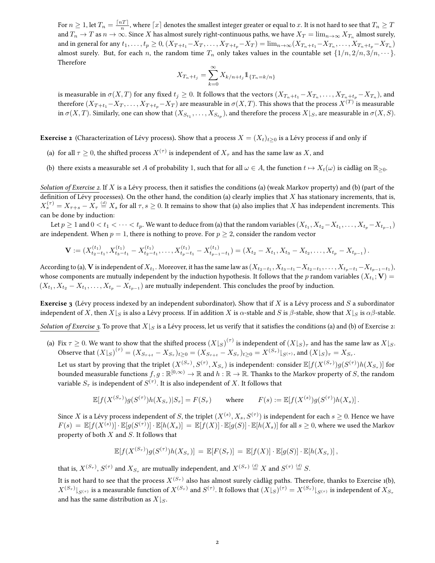For  $n\geq 1$ , let  $T_n=\frac{\lceil nT\rceil}{n}$  $\frac{nT}{n}$ , where  $\lceil x \rceil$  denotes the smallest integer greater or equal to  $x.$  It is not hard to see that  $T_n \geq T$ and  $T_n\to T$  as  $n\to\infty.$  Since  $X$  has almost surely right-continuous paths, we have  $X_T=\lim_{n\to\infty}X_{T_n}$  almost surely, and in general for any  $t_1, \ldots, t_p \ge 0$ ,  $(X_{T+t_1}-X_T, \ldots, X_{T+t_p}-X_T) = \lim_{n\to\infty} (X_{T_n+t_1}-X_{T_n}, \ldots, X_{T_n+t_p}-X_{T_n})$ almost surely. But, for each n, the random time  $T_n$  only takes values in the countable set  $\{1/n, 2/n, 3/n, \dots\}$ . Therefore

$$
X_{T_n+t_j} = \sum_{k=0}^{\infty} X_{k/n+t_j} 1\!\!1_{\{T_n=k/n\}}
$$

is measurable in  $\sigma(X,T)$  for any fixed  $t_j\geq 0.$  It follows that the vectors  $(X_{T_n+t_1}-X_{T_n},\ldots,X_{T_n+t_p}-X_{T_n}),$  and therefore  $(X_{T+t_1}-X_T,\ldots,X_{T+t_p}-X_T)$  are measurable in  $\sigma(X,T).$  This shows that the process  $X^{(T)}$  is measurable in  $\sigma(X,T)$ . Similarly, one can show that  $(X_{S_{t_1}},\ldots,X_{S_{t_p}})$ , and therefore the process  $X|_S$ , are measurable in  $\sigma(X,S)$ .

**Exercise 2** (Characterization of Lévy process). Show that a process  $X = (X_t)_{t>0}$  is a Lévy process if and only if

- (a) for all  $\tau \geq 0$ , the shifted process  $X^{(\tau)}$  is independent of  $X_\tau$  and has the same law as  $X$ , and
- (b) there exists a measurable set A of probability 1, such that for all  $\omega \in A$ , the function  $t \mapsto X_t(\omega)$  is càdlàg on  $\mathbb{R}_{>0}$ .

Solution of Exercise 2. If X is a Lévy process, then it satisfies the conditions (a) (weak Markov property) and (b) (part of the definition of Lévy processes). On the other hand, the condition (a) clearly implies that  $X$  has stationary increments, that is,  $X^{(\tau)}_s = X_{\tau+s} - X_\tau \stackrel{\scriptscriptstyle{(d)}}{=} X_s$  for all  $\tau,s \geq 0.$  It remains to show that (a) also implies that  $X$  has independent increments. This can be done by induction:

Let  $p\geq 1$  and  $0< t_1<\cdots< t_p.$  We want to deduce from (a) that the random variables  $(X_{t_1},X_{t_2}-X_{t_1},\ldots,X_{t_p}-X_{t_{p-1}})$ are independent. When  $p = 1$ , there is nothing to prove. For  $p \ge 2$ , consider the random vector

$$
\mathbf{V} := (X_{t_2-t_1}^{(t_1)}, X_{t_3-t_1}^{(t_1)} - X_{t_2-t_1}^{(t_1)}, \dots, X_{t_p-t_1}^{(t_1)} - X_{t_{p-1}-t_1}^{(t_1)}) = (X_{t_2} - X_{t_1}, X_{t_3} - X_{t_2}, \dots, X_{t_p} - X_{t_{p-1}}).
$$

According to (a),  ${\bf V}$  is independent of  $X_{t_1}$ . Moreover, it has the same law as  $(X_{t_2-t_1}, X_{t_3-t_1}-X_{t_2-t_1}, \ldots, X_{t_p-t_1}-X_{t_{p-1}-t_1}),$ whose components are mutually independent by the induction hypothesis. It follows that the  $p$  random variables  $(X_{t_1};{\bf V})=$  $(X_{t_1}, X_{t_2} - X_{t_1}, \ldots, X_{t_p} - X_{t_{p-1}})$  are mutually independent. This concludes the proof by induction.

**Exercise 3** (Lévy process indexed by an independent subordinator). Show that if X is a Lévy process and S a subordinator independent of X, then  $X|_{S}$  is also a Lévy process. If in addition X is  $\alpha$ -stable and S is  $\beta$ -stable, show that  $X|_{S}$  is  $\alpha\beta$ -stable.

Solution of Exercise 3. To prove that  $X|_S$  is a Lévy process, let us verify that it satisfies the conditions (a) and (b) of Exercise 2:

(a) Fix  $\tau \geq 0$ . We want to show that the shifted process  $(X\vert_S)^{(\tau)}$  is independent of  $(X\vert_S)_\tau$  and has the same law as  $X\vert_S$ . Observe that  $(X|_{S})^{(\tau)} = (X_{S_{\tau+t}} - X_{S_{\tau}})_{t \geq 0} = (X_{S_{\tau+t}} - X_{S_{\tau}})_{t \geq 0} = X^{(S_{\tau})}|_{S^{(\tau)}},$  and  $(X|_{S})_{\tau} = X_{S_{\tau}}$ .

Let us start by proving that the triplet  $(X^{(S_\tau)},S^{(\tau)},X_{S_\tau})$  is independent: consider  $\mathbb E[f(X^{(S_\tau)})g(S^{(\tau)})h(X_{S_\tau})]$  for bounded measurable functions  $f,g:\mathbb{R}^{[0,\infty)}\to\mathbb{R}$  and  $h:\mathbb{R}\to\mathbb{R}.$  Thanks to the Markov property of  $S$ , the random variable  $S_{\tau}$  is independent of  $S^{(\tau)}.$  It is also independent of  $X.$  It follows that

$$
\mathbb{E}[f(X^{(S_{\tau})})g(S^{(\tau)})h(X_{S_{\tau}})|S_{\tau}] = F(S_{\tau}) \quad \text{where} \quad F(s) := \mathbb{E}[f(X^{(s)})g(S^{(\tau)})h(X_s)].
$$

Since  $X$  is a Lévy process independent of  $S$ , the triplet  $(X^{(s)},X_s,S^{(\tau)})$  is independent for each  $s\geq 0.$  Hence we have  $F(s) \ = \ \mathbb{E}[f(X^{(s)})] \cdot \mathbb{E}[g(S^{(\tau)})] \cdot \mathbb{E}[h(X_s)] \ = \ \mathbb{E}[f(X)] \cdot \mathbb{E}[g(S)] \cdot \mathbb{E}[h(X_s)] \text{ for all } s \geq 0, \text{ where we used the Markov function } \mathbb{E}[f(X_s) \cdot \mathbb{E}[h(X_s)]] \leq \mathbb{E}[f(X_s) \cdot \mathbb{E}[h(X_s)]] \cdot \mathbb{E}[h(X_s) \cdot \mathbb{E}[h(X_s)]] \leq \mathbb{E}[f(X_s) \cdot \mathbb{E}[h(X_s)]] \cdot \mathbb{E}[h(X_s) \cdot \$ property of both  $X$  and  $S$ . It follows that

$$
\mathbb{E}[f(X^{(S_{\tau})})g(S^{(\tau)})h(X_{S_{\tau}})] = \mathbb{E}[F(S_{\tau})] = \mathbb{E}[f(X)] \cdot \mathbb{E}[g(S)] \cdot \mathbb{E}[h(X_{S_{\tau}})],
$$

that is,  $X^{(S_{\tau})},S^{(\tau)}$  and  $X_{S_{\tau}}$  are mutually independent, and  $X^{(S_{\tau})}\stackrel{(d)}{=}X$  and  $S^{(\tau)}\stackrel{(d)}{=}S.$ 

It is not hard to see that the process  $X^{(S_\tau)}$  also has almost surely càdlàg paths. Therefore, thanks to Exercise 1(b),  $X^{(S_{\tau})}|_{S^{(\tau)}}$  is a measurable function of  $X^{(S_{\tau})}$  and  $S^{(\tau)}.$  It follows that  $(X|_{S})^{(\tau)}=X^{(S_{\tau})}|_{S^{(\tau)}}$  is independent of  $X_{S_{\tau}}$ and has the same distribution as  $X|_{S}$ .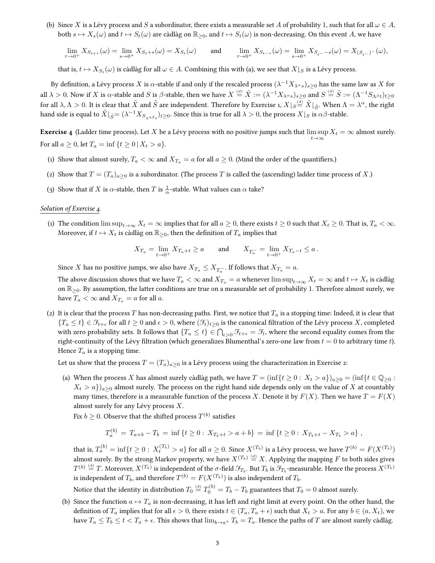(b) Since X is a Lévy process and S a subordinator, there exists a measurable set A of probability 1, such that for all  $\omega \in A$ , both  $s \mapsto X_s(\omega)$  and  $t \mapsto S_t(\omega)$  are càdlàg on  $\mathbb{R}_{\geq 0}$ , and  $t \mapsto S_t(\omega)$  is non-decreasing. On this event A, we have

 $\lim_{\tau \to 0^+} X_{S_{t+\tau}}(\omega) = \lim_{s \to 0^+} X_{S_t+s}(\omega) = X_{S_t}(\omega)$  and  $\lim_{\tau \to 0^+} X_{S_{t-\tau}}(\omega) = \lim_{s \to 0^+} X_{S_{t-\sigma}}(\omega) = X_{(S_{t-\tau})}(\omega)$ ,

that is,  $t \mapsto X_{S_t}(\omega)$  is càdlàg for all  $\omega \in A$ . Combining this with (a), we see that  $X\vert_S$  is a Lévy process.

By definition, a Lévy process  $X$  is  $\alpha$ -stable if and only if the rescaled process  $(\lambda^{-1}X_{\lambda^\alpha s})_{s\ge0}$  has the same law as  $X$  for all  $\lambda>0.$  Now if  $X$  is  $\alpha$ -stable and  $S$  is  $\beta$ -stable, then we have  $X\stackrel{(d)}{=}\tilde{X}:=(\lambda^{-1}X_{\lambda^{\alpha}s})_{s\geq 0}$  and  $S\stackrel{(d)}{=}\tilde{S}:=(\Lambda^{-1}S_{\Lambda^{\beta}t})_{t\geq 0}$ for all  $\lambda,\Lambda>0.$  It is clear that  $\tilde{X}$  and  $\tilde{S}$  are independent. Therefore by Exercise 1,  $X\vert_{S} \stackrel{(d)}{=} \tilde{X}\vert_{\tilde{S}}.$  When  $\Lambda=\lambda^\alpha,$  the right hand side is equal to  $\tilde X|_{\tilde S}=(\lambda^{-1}X_{S_{\lambda^{\alpha\beta}t}})_{t\geq 0}.$  Since this is true for all  $\lambda>0,$  the process  $X|_S$  is  $\alpha\beta$ -stable.

**Exercise 4** (Ladder time process). Let  $X$  be a Lévy process with no positive jumps such that  $\limsup X_t = \infty$  almost surely.  $t\rightarrow\infty$ For all  $a \ge 0$ , let  $T_a = \inf \{ t \ge 0 \, | \, X_t > a \}.$ 

- (1) Show that almost surely,  $T_a < \infty$  and  $X_{T_a} = a$  for all  $a \ge 0$ . (Mind the order of the quantifiers.)
- (2) Show that  $T = (T_a)_{a \geq 0}$  is a subordinator. (The process T is called the (ascending) ladder time process of X.)
- (3) Show that if X is  $\alpha$ -stable, then T is  $\frac{1}{\alpha}$ -stable. What values can  $\alpha$  take?

### Solution of Exercise 4.

(1) The condition  $\limsup_{t\to\infty} X_t = \infty$  implies that for all  $a \geq 0$ , there exists  $t \geq 0$  such that  $X_t \geq 0$ . That is,  $T_a < \infty$ . Moreover, if  $t \mapsto X_t$  is càdlàg on  $\mathbb{R}_{\geq 0}$ , then the definition of  $T_a$  implies that

$$
X_{T_a} = \lim_{t \to 0^+} X_{T_a + t} \ge a \quad \text{and} \quad X_{T_a^-} = \lim_{t \to 0^+} X_{T_a - t} \le a \, .
$$

Since  $X$  has no positive jumps, we also have  $X_{T_a}\leq X_{T_a^-}.$  If follows that  $X_{T_a}=a.$ 

The above discussion shows that we have  $T_a < \infty$  and  $X_{T_a} = a$  whenever  $\limsup_{t\to\infty} X_t = \infty$  and  $t \mapsto X_t$  is càdlàg on  $\mathbb{R}_{>0}$ . By assumption, the latter conditions are true on a measurable set of probability 1. Therefore almost surely, we have  $T_a < \infty$  and  $X_{T_a} = a$  for all a.

(2) It is clear that the process T has non-decreasing paths. First, we notice that  $T_a$  is a stopping time: Indeed, it is clear that  ${T_a \leq t} \in \mathcal{F}_{t+\epsilon}$  for all  $t \geq 0$  and  $\epsilon > 0$ , where  $(\mathcal{F}_t)_{t>0}$  is the canonical filtration of the Lévy process X, completed with zero probability sets. It follows that  $\{T_a\leq t\}\in\bigcap_{\epsilon>0}\mathcal{F}_{t+\epsilon}=\mathcal{F}_t$ , where the second equality comes from the right-continuity of the Lévy filtration (which generalizes Blumenthal's zero-one law from  $t = 0$  to arbitrary time t). Hence  $T_a$  is a stopping time.

Let us show that the process  $T = (T_a)_{a \geq 0}$  is a Lévy process using the characterization in Exercise 2:

(a) When the process X has almost surely càdlàg path, we have  $T = (\inf\{t \geq 0 : X_t > a\})_{a>0} = (\inf\{t \in \mathbb{Q}_{>0} : X_t > a\})$  $X_t > a$ )<sub>a>0</sub> almost surely. The process on the right hand side depends only on the value of X at countably many times, therefore is a measurable function of the process X. Denote it by  $F(X)$ . Then we have  $T = F(X)$ almost surely for any Lévy process X.

Fix  $b\geq 0.$  Observe that the shifted process  $T^{(b)}$  satisfies

$$
T_a^{(b)} = T_{a+b} - T_b = \inf \{ t \ge 0 : X_{T_b+t} > a+b \} = \inf \{ t \ge 0 : X_{T_b+t} - X_{T_b} > a \},
$$

that is,  $T_a^{(b)}=\inf\{t\geq 0: \, X_t^{(T_b)} > a\}$  for all  $a\geq 0.$  Since  $X^{(T_b)}$  is a Lévy process, we have  $T^{(b)}=F(X^{(T_b)})$ almost surely. By the strong Markov property, we have  $X^{(T_b)}\stackrel{(d)}{=}X.$  Applying the mapping  $F$  to both sides gives  $T^{(b)}\stackrel{(d)}{=}T.$  Moreover,  $X^{(T_b)}$  is independent of the  $\sigma$ -field  $\mathcal{F}_{T_b}.$  But  $T_b$  is  $\mathcal{F}_{T_b}$ -measurable. Hence the process  $X^{(T_b)}$ is independent of  $T_b$ , and therefore  $T^{(b)}=F(X^{(T_b)})$  is also independent of  $T_b$ .

Notice that the identity in distribution  $T_0\stackrel{(d)}{=}T_0^{(b)}=T_b-T_b$  guarantees that  $T_0=0$  almost surely.

(b) Since the function  $a \mapsto T_a$  is non-decreasing, it has left and right limit at every point. On the other hand, the definition of  $T_a$  implies that for all  $\epsilon > 0$ , there exists  $t \in (T_a, T_a + \epsilon)$  such that  $X_t > a$ . For any  $b \in (a, X_t)$ , we have  $T_a \le T_b \le t < T_a + \epsilon$ . This shows that  $\lim_{b\to a^+} T_b = T_a$ . Hence the paths of T are almost surely càdlàg.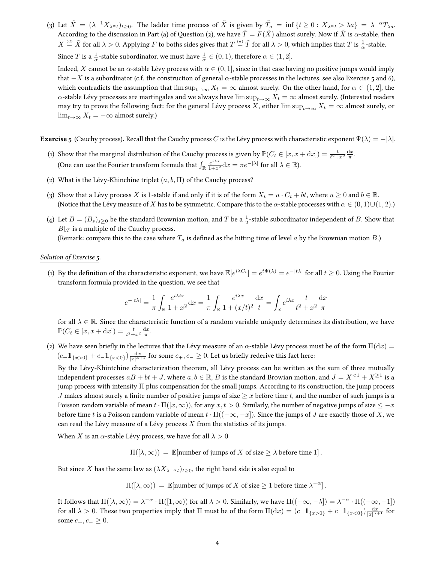(3) Let  $\tilde{X} = (\lambda^{-1}X_{\lambda^{\alpha}t})_{t \geq 0}$ . The ladder time process of  $\tilde{X}$  is given by  $\tilde{T}_a = \inf \{ t \geq 0: X_{\lambda^{\alpha}t} > \lambda a \} = \lambda^{-\alpha}T_{\lambda a}$ . According to the discussion in Part (a) of Question (2), we have  $\tilde{T} = F(\tilde{X})$  almost surely. Now if  $\tilde{X}$  is  $\alpha$ -stable, then  $X\overset{(d)}{=}\tilde{X}$  for all  $\lambda>0.$  Applying  $F$  to boths sides gives that  $T\overset{(d)}{=}\tilde{T}$  for all  $\lambda>0,$  which implies that  $T$  is  $\frac{1}{\alpha}$ -stable. Since *T* is a  $\frac{1}{\alpha}$ -stable subordinator, we must have  $\frac{1}{\alpha} \in (0,1)$ , therefore  $\alpha \in (1,2]$ . Indeed, X cannot be an  $\alpha$ -stable Lévy process with  $\alpha \in (0,1]$ , since in that case having no positive jumps would imply that  $-X$  is a subordinator (c.f. the construction of general  $\alpha$ -stable processes in the lectures, see also Exercise 5 and 6),

which contradicts the assumption that  $\limsup_{t\to\infty} X_t = \infty$  almost surely. On the other hand, for  $\alpha \in (1,2]$ , the α-stable Lévy processes are martingales and we always have  $\limsup_{t\to\infty} X_t = \infty$  almost surely. (Interested readers may try to prove the following fact: for the general Lévy process X, either  $\limsup_{t\to\infty}X_t=\infty$  almost surely, or  $\lim_{t\to\infty} X_t = -\infty$  almost surely.)

**Exercise 5** (Cauchy process). Recall that the Cauchy process C is the Lévy process with characteristic exponent  $\Psi(\lambda) = -|\lambda|$ .

- (1) Show that the marginal distribution of the Cauchy process is given by  $\mathbb{P}(C_t \in [x, x + dx]) = \frac{t}{t^2 + x^2} \frac{dx}{\pi}$ . (One can use the Fourier transform formula that  $\int_{\mathbb{R}} \frac{e^{i\lambda x}}{1+x^2} \mathrm{d}x = \pi e^{-|\lambda|}$  for all  $\lambda \in \mathbb{R}$ ).
- (2) What is the Lévy-Khinchine triplet  $(a, b, \Pi)$  of the Cauchy process?
- (3) Show that a Lévy process X is 1-stable if and only if it is of the form  $X_t = u \cdot C_t + bt$ , where  $u \ge 0$  and  $b \in \mathbb{R}$ . (Notice that the Lévy measure of X has to be symmetric. Compare this to the  $\alpha$ -stable processes with  $\alpha \in (0,1) \cup (1,2)$ .)
- (4) Let  $B=(B_s)_{s\geq 0}$  be the standard Brownian motion, and T be a  $\frac{1}{2}$ -stable subordinator independent of B. Show that  $B|_T$  is a multiple of the Cauchy process.

(Remark: compare this to the case where  $T_a$  is defined as the hitting time of level a by the Brownian motion  $B$ .)

## Solution of Exercise 5.

(1) By the definition of the characteristic exponent, we have  $\mathbb{E}[e^{i\lambda C_t}] = e^{t\Psi(\lambda)} = e^{-|t\lambda|}$  for all  $t \geq 0$ . Using the Fourier transform formula provided in the question, we see that

$$
e^{-|t\lambda|}=\frac{1}{\pi}\int_{\mathbb{R}}\frac{e^{i\lambda t x}}{1+x^2}\mathrm{d}x=\frac{1}{\pi}\int_{\mathbb{R}}\frac{e^{i\lambda x}}{1+(x/t)^2}\frac{\mathrm{d}x}{t}=\int_{\mathbb{R}}e^{i\lambda x}\frac{t}{t^2+x^2}\frac{\mathrm{d}x}{\pi}
$$

for all  $\lambda \in \mathbb{R}$ . Since the characteristic function of a random variable uniquely determines its distribution, we have  $\mathbb{P}(C_t \in [x, x + dx]) = \frac{t}{t^2 + x^2} \frac{dx}{\pi}.$ 

(2) We have seen briefly in the lectures that the Lévy measure of an  $\alpha$ -stable Lévy process must be of the form  $\Pi(dx)$  =  $(c_+ 1\!\!1_{\{x>0\}}+c_-\!1\!\!1_{\{x<0\}})\frac{dx}{|x|^{\alpha+1}}$  for some  $c_+, c_-\geq 0$ . Let us briefly rederive this fact here:

By the Lévy-Khintchine characterization theorem, all Lévy process can be written as the sum of three mutually independent processes  $aB + b t + J$ , where  $a,b \in \mathbb{R}$ ,  $B$  is the standard Browian motion, and  $J = X^{< 1} + X^{\geq 1}$  is a jump process with intensity Π plus compensation for the small jumps. According to its construction, the jump process J makes almost surely a finite number of positive jumps of size  $\geq x$  before time t, and the number of such jumps is a Poisson random variable of mean  $t \cdot \Pi([x,\infty))$ , for any  $x, t > 0$ . Similarly, the number of negative jumps of size  $\leq -x$ before time t is a Poisson random variable of mean  $t \cdot \Pi((-\infty, -x])$ . Since the jumps of J are exactly those of X, we can read the Lévy measure of a Lévy process  $X$  from the statistics of its jumps.

When X is an  $\alpha$ -stable Lévy process, we have for all  $\lambda > 0$ 

 $\Pi([\lambda,\infty)) = \mathbb{E}[\text{number of jumps of } X \text{ of size } \geq \lambda \text{ before time } 1].$ 

But since X has the same law as  $(\lambda X_{\lambda} - \alpha_t)_{t>0}$ , the right hand side is also equal to

 $\Pi([\lambda, \infty)) = \mathbb{E}[\text{number of jumps of } X \text{ of size } \geq 1 \text{ before time } \lambda^{-\alpha}]$ .

It follows that  $\Pi([\lambda, \infty)) = \lambda^{-\alpha} \cdot \Pi([1, \infty))$  for all  $\lambda > 0$ . Similarly, we have  $\Pi((-\infty, -\lambda]) = \lambda^{-\alpha} \cdot \Pi((-\infty, -1])$ for all  $\lambda > 0$ . These two properties imply that  $\Pi$  must be of the form  $\Pi({\rm d} x) = (c_+ 1\!\!1_{\{x > 0\}} + c_- 1\!\!1_{\{x < 0\}})\frac{{\rm d} x}{|x|^{\alpha + 1}}$  for some  $c_+, c_-\geq 0$ .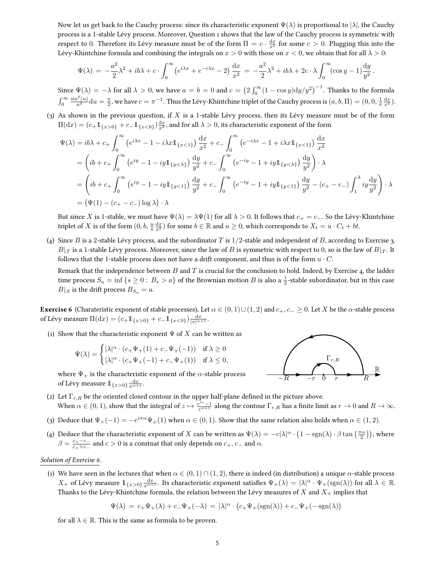Now let us get back to the Cauchy process: since its characteristic exponent  $\Psi(\lambda)$  is proportional to  $|\lambda|$ , the Cauchy process is a 1-stable Lévy process. Moreover, Question 1 shows that the law of the Cauchy process is symmetric with respect to 0. Therefore its Lévy measure must be of the form  $\Pi = c \cdot \frac{dx}{x^2}$  for some  $c > 0$ . Plugging this into the Lévy-Khintchine formula and combining the integrals on  $x > 0$  with those on  $x < 0$ , we obtain that for all  $\lambda > 0$ :

$$
\Psi(\lambda) = -\frac{a^2}{2}\lambda^2 + ib\lambda + c \cdot \int_0^\infty (e^{i\lambda x} + e^{-i\lambda x} - 2) \frac{dx}{x^2} = -\frac{a^2}{2}\lambda^2 + ib\lambda + 2c \cdot \lambda \int_0^\infty (\cos y - 1) \frac{dy}{y^2}.
$$

Since  $\Psi(\lambda) = -\lambda$  for all  $\lambda > 0$ , we have  $a = b = 0$  and  $c = \left(2 \int_0^\infty (1 - \cos y) \mathrm{d}y/y^2 \right)^{-1}$ . Thanks to the formula  $\int_0^\infty$  $\frac{\sin^2(u)}{u^2}{\rm d} u=\frac{\pi}{2},$  we have  $c=\pi^{-1}.$  Thus the Lévy-Khintchine triplet of the Cauchy process is  $(a,b,\Pi)=(0,0,\frac{1}{\pi}\frac{\mathrm{d} x}{x^2}).$ 

(3) As shown in the previous question, if  $X$  is a 1-stable Lévy process, then its Lévy measure must be of the form  $\Pi(\mathrm{d} x)=(c_+\mathbb{1}_{\{x>0\}}+c_-\mathbb{1}_{\{x<0\}})\frac{\mathrm{d} x}{x^2}$ , and for all  $\lambda>0$ , its characteristic exponent of the form

$$
\Psi(\lambda) = ib\lambda + c_{+} \int_{0}^{\infty} (e^{i\lambda x} - 1 - i\lambda x \mathbb{1}_{\{x < 1\}}) \frac{dx}{x^{2}} + c_{-} \int_{0}^{\infty} (e^{-i\lambda x} - 1 + i\lambda x \mathbb{1}_{\{x < 1\}}) \frac{dx}{x^{2}}
$$
  
\n
$$
= (ib + c_{+} \int_{0}^{\infty} (e^{iy} - 1 - iy \mathbb{1}_{\{y < \lambda\}}) \frac{dy}{y^{2}} + c_{-} \int_{0}^{\infty} (e^{-iy} - 1 + iy \mathbb{1}_{\{y < \lambda\}}) \frac{dy}{y^{2}}) \cdot \lambda
$$
  
\n
$$
= (ib + c_{+} \int_{0}^{\infty} (e^{iy} - 1 - iy \mathbb{1}_{\{y < 1\}}) \frac{dy}{y^{2}} + c_{-} \int_{0}^{\infty} (e^{-iy} - 1 + iy \mathbb{1}_{\{y < 1\}}) \frac{dy}{y^{2}} - (c_{+} - c_{-}) \int_{1}^{\lambda} iy \frac{dy}{y^{2}} \right) \cdot \lambda
$$
  
\n
$$
= (\Psi(1) - (c_{+} - c_{-}) \log \lambda) \cdot \lambda
$$

But since X is 1-stable, we must have  $\Psi(\lambda) = \lambda \Psi(1)$  for all  $\lambda > 0$ . It follows that  $c_+ = c_-$ . So the Lévy-Khintchine triplet of X is of the form  $(0, b, \frac{u}{\pi} \frac{dx}{x^2})$  for some  $b \in \mathbb{R}$  and  $u \ge 0$ , which corresponds to  $X_t = u \cdot C_t + bt$ .

(4) Since B is a 2-stable Lévy process, and the subordinator T is  $1/2$ -stable and independent of B, according to Exercise 3,  $B|_T$  is a 1-stable Lévy process. Moreover, since the law of  $B$  is symmetric with respect to 0, so is the law of  $B|_T$ . It follows that the 1-stable process does not have a drift component, and thus is of the form  $u \cdot C$ .

Remark that the independence between  $B$  and  $T$  is crucial for the conclusion to hold. Indeed, by Exercise 4, the ladder time process  $S_a = \inf \{ s \ge 0 : B_s > a \}$  of the Brownian motion  $B$  is also a  $\frac{1}{2}$ -stable subordinator, but in this case  $B|_S$  is the drift process  $B_{S_a} = a$ .

**Exercise 6** (Charateristic exponent of stable processes). Let  $\alpha \in (0,1) \cup (1,2)$  and  $c_+, c_- \ge 0$ . Let X be the  $\alpha$ -stable process of Lévy measure  $\Pi(\mathrm{d}x) = (c_+ 1\!\!\!1_{\{x>0\}} + c_- 1\!\!\!1_{\{x<0\}})\frac{\mathrm{d}x}{|x|^{\alpha+1}}$ .

(1) Show that the characteristic exponent  $\Psi$  of X can be written as

$$
\Psi(\lambda) = \begin{cases} |\lambda|^{\alpha} \cdot (c_+ \Psi_+(1) + c_- \Psi_+(-1)) & \text{if } \lambda \ge 0 \\ |\lambda|^{\alpha} \cdot (c_+ \Psi_+(-1) + c_- \Psi_+(1)) & \text{if } \lambda \le 0, \end{cases}
$$

where  $\Psi_+$  is the characteristic exponent of the  $\alpha$ -stable process of Lévy measure  $\mathbb{1}_{\{x>0\}} \frac{\mathrm{d} x}{x^{\alpha+1}}.$ 



- (2) Let  $\Gamma_{r,R}$  be the oriented closed contour in the upper half-plane defined in the picture above. When  $\alpha \in (0,1)$ , show that the integral of  $z \mapsto \frac{e^{iz}-1}{z^{\alpha+1}}$  along the contour  $\Gamma_{r,R}$  has a finite limit as  $r \to 0$  and  $R \to \infty$ .
- (3) Deduce that  $\Psi_+(-1) = -e^{i\pi\alpha}\Psi_+(1)$  when  $\alpha \in (0,1)$ . Show that the same relation also holds when  $\alpha \in (1,2)$ .
- (4) Deduce that the characteristic exponent of X can be written as  $\Psi(\lambda) = -c|\lambda|^{\alpha} \cdot \left(1 \text{sgn}(\lambda) \cdot \beta \tan\left(\frac{\pi \alpha}{2}\right)\right)$ , where  $\beta = \frac{c_+ - c_-}{c_+ + c_-}$  $\frac{c_+ - c_-}{c_+ + c_-}$  and  $c > 0$  is a constnat that only depends on  $c_+, c_-$  and  $\alpha$ .

## Solution of Exercise 6.

(1) We have seen in the lectures that when  $\alpha \in (0,1) \cap (1,2)$ , there is indeed (in distribution) a unique  $\alpha$ -stable process  $X_+$  of Lévy measure  $1\!\!1_{\{x>0\}}\frac{dx}{x^{\alpha+1}}$ . Its characteristic exponent satisfies  $\Psi_+(\lambda)=|\lambda|^\alpha\cdot\Psi_+(\text{sgn}(\lambda))$  for all  $\lambda\in\mathbb{R}$ . Thanks to the Lévy-Khintchine formula, the relation between the Lévy measures of X and  $X_+$  implies that

$$
\Psi(\lambda) = c_+ \Psi_+(\lambda) + c_- \Psi_+(-\lambda) = |\lambda|^{\alpha} \cdot (c_+ \Psi_+(\text{sgn}(\lambda)) + c_- \Psi_+(-\text{sgn}(\lambda))
$$

for all  $\lambda \in \mathbb{R}$ . This is the same as formula to be proven.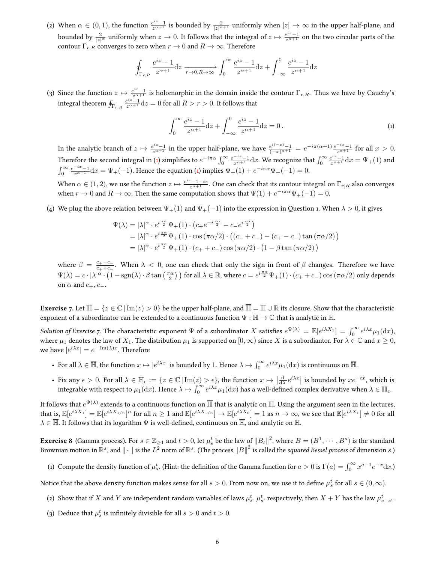(2) When  $\alpha \in (0,1)$ , the function  $\frac{e^{iz}-1}{z^{\alpha+1}}$  is bounded by  $\frac{2}{|z|^{\alpha+1}}$  uniformly when  $|z|\to\infty$  in the upper half-plane, and bounded by  $\frac{2}{|z|^\alpha}$  uniformly when  $z\to 0$ . It follows that the integral of  $z\mapsto \frac{e^{iz}-1}{z^{\alpha+1}}$  on the two circular parts of the contour  $\Gamma_{r,R}$  converges to zero when  $r \to 0$  and  $R \to \infty$ . Therefore

$$
\oint_{\Gamma_{r,R}} \frac{e^{iz} - 1}{z^{\alpha+1}} dz \xrightarrow[r \to 0, R \to \infty]{} \int_0^\infty \frac{e^{iz} - 1}{z^{\alpha+1}} dz + \int_{-\infty}^0 \frac{e^{iz} - 1}{z^{\alpha+1}} dz
$$

(3) Since the function  $z \mapsto \frac{e^{iz}-1}{z^{\alpha+1}}$  is holomorphic in the domain inside the contour  $\Gamma_{r,R}$ . Thus we have by Cauchy's integral theorem  $\oint_{\Gamma_{r,R}}\frac{e^{iz}-1}{z^{\alpha+1}}{\rm d}z=0$  for all  $R>r>0.$  It follows that

<span id="page-5-0"></span>
$$
\int_0^\infty \frac{e^{iz} - 1}{z^{\alpha + 1}} dz + \int_{-\infty}^0 \frac{e^{iz} - 1}{z^{\alpha + 1}} dz = 0.
$$
 (1)

In the analytic branch of  $z \mapsto \frac{e^{iz}-1}{z^{\alpha+1}}$  in the upper half-plane, we have  $\frac{e^{i(-x)}-1}{(-x)^{\alpha+1}} = e^{-i\pi(\alpha+1)} \frac{e^{-ix}-1}{x^{\alpha+1}}$  for all  $x > 0$ . Therefore the second integral in [\(1\)](#page-5-0) simplifies to  $e^{-i\pi\alpha}\int_0^\infty \frac{e^{-ix}-1}{x^{\alpha+1}}{\rm d}x$ . We recognize that  $\int_0^\infty \frac{e^{ix}-1}{x^{\alpha+1}}{\rm d}x = \Psi_+(1)$  and  $\int_0^\infty \frac{e^{-ix}-1}{x^{\alpha+1}}\mathrm{d}x = \Psi_+(-1)$ . Hence the equation [\(1\)](#page-5-0) implies  $\Psi_+(1) + e^{-i\pi\alpha}\Psi_+(-1) = 0$ .

When  $\alpha \in (1,2)$ , we use the function  $z \mapsto \frac{e^{iz}-1-iz}{z^{\alpha+1}}$ . One can check that its contour integral on  $\Gamma_{r,R}$  also converges when  $r \to 0$  and  $R \to \infty$ . Then the same computation shows that  $\Psi(1) + e^{-i\pi\alpha}\Psi_+(-1) = 0$ .

(4) We plug the above relation between  $\Psi_+(1)$  and  $\Psi_+(-1)$  into the expression in Question 1. When  $\lambda > 0$ , it gives

$$
\Psi(\lambda) = |\lambda|^{\alpha} \cdot e^{i\frac{\pi\alpha}{2}} \Psi_+(1) \cdot (c_+ e^{-i\frac{\pi\alpha}{2}} - c_- e^{i\frac{\pi\alpha}{2}})
$$
\n
$$
= |\lambda|^{\alpha} \cdot e^{i\frac{\pi\alpha}{2}} \Psi_+(1) \cdot \cos(\pi\alpha/2) \cdot ((c_+ + c_-) - (c_+ - c_-) \tan(\pi\alpha/2))
$$
\n
$$
= |\lambda|^{\alpha} \cdot e^{i\frac{\pi\alpha}{2}} \Psi_+(1) \cdot (c_+ + c_-) \cos(\pi\alpha/2) \cdot (1 - \beta \tan(\pi\alpha/2))
$$

where  $\beta = \frac{c_+ - c_-}{c_+ + c_-}$  $\frac{c_+ - c_-}{c_+ + c_-}$ . When  $\lambda < 0$ , one can check that only the sign in front of  $\beta$  changes. Therefore we have  $\Psi(\lambda)=c\cdot |\lambda|^\alpha\cdot\left(1-{\rm sgn}(\lambda)\cdot\beta\tan\left(\frac{\pi\alpha}{2}\right)\right)$  for all  $\lambda\in\mathbb{R},$  where  $c=e^{i\frac{\pi\alpha}{2}}\Psi_+(1)\cdot(c_++c_-)\cos\left(\pi\alpha/2\right)$  only depends on  $\alpha$  and  $c_+, c_-.$ 

**Exercise** 7. Let  $\mathbb{H} = \{z \in \mathbb{C} \mid \text{Im}(z) > 0\}$  be the upper half-plane, and  $\overline{\mathbb{H}} = \mathbb{H} \cup \mathbb{R}$  its closure. Show that the characteristic exponent of a subordinator can be extended to a continuous function  $\Psi : \overline{\mathbb{H}} \to \mathbb{C}$  that is analytic in  $\mathbb{H}$ .

Solution of Exercise 7. The characteristic exponent  $\Psi$  of a subordinator X satisfies  $e^{\Psi(\lambda)} = \mathbb{E}[e^{i\lambda X_1}] = \int_0^\infty e^{i\lambda x} \mu_1(\mathrm{d}x)$ , where  $\mu_1$  denotes the law of  $X_1$ . The distribution  $\mu_1$  is supported on  $[0,\infty)$  since X is a subordiantor. For  $\lambda \in \mathbb{C}$  and  $x \ge 0$ , we have  $|e^{i\lambda x}| = e^{-\operatorname{Im}(\lambda)x}$ . Therefore

- For all  $\lambda \in \overline{\mathbb{H}}$ , the function  $x \mapsto |e^{i\lambda x}|$  is bounded by 1. Hence  $\lambda \mapsto \int_0^\infty e^{i\lambda x} \mu_1(\mathrm{d}x)$  is continuous on  $\overline{\mathbb{H}}$ .
- Fix any  $\epsilon > 0$ . For all  $\lambda \in \mathbb{H}_{\epsilon} := \{z \in \mathbb{C} \mid \text{Im}(z) > \epsilon\}$ , the function  $x \mapsto \left|\frac{d}{d\lambda}e^{i\lambda x}\right|$  is bounded by  $xe^{-\epsilon x}$ , which is  $\left|\frac{\mathrm{d}\lambda}{\mathrm{d}\lambda}\right|^{c}$  | integrable with respect to  $\mu_1(\mathrm{d}x)$ . Hence  $\lambda \mapsto \int_0^\infty e^{i\lambda x} \mu_1(\mathrm{d}x)$  has a well-defined complex derivative when  $\lambda \in \mathbb{H}_\epsilon$ .

It follows that  $e^{\Psi(\lambda)}$  extends to a continuous function on  $\overline{\mathbb{H}}$  that is analytic on  $\mathbb{H}.$  Using the argument seen in the lectures, that is,  $\mathbb{E}[e^{i\lambda X_1}]=\mathbb{E}[e^{i\lambda X_{1/n}}]^n$  for all  $n\geq 1$  and  $\mathbb{E}[e^{i\lambda X_{1/n}}]\to \mathbb{E}[e^{i\lambda X_0}]=1$  as  $n\to\infty,$  we see that  $\mathbb{E}[e^{i\lambda X_1}]\neq 0$  for all  $\lambda\in\overline{\mathbb{H}}.$  It follows that its logarithm  $\Psi$  is well-defined, continuous on  $\overline{\mathbb{H}}.$  and analytic on  $\mathbb{H}.$ 

**Exercise 8** (Gamma process). For  $s\in\mathbb{Z}_{\geq 1}$  and  $t>0,$  let  $\mu_s^t$  be the law of  $\|B_t\|^2$ , where  $B=(B^1,\cdots,B^s)$  is the standard Brownian motion in  $\R^s$ , and  $\|\cdot\|$  is the  $L^{\overline{2}}$  norm of  $\R^s$ . (The process  $\|B\|^2$  is called the *squared Bessel process* of dimension  $s$ .)

(1) Compute the density function of  $\mu_s^t$ . (Hint: the definition of the Gamma function for  $a>0$  is  $\Gamma(a)=\int_0^\infty x^{a-1}e^{-x}\mathrm{d}x$ .)

Notice that the above density function makes sense for all  $s>0$ . From now on, we use it to define  $\mu_s^t$  for all  $s\in(0,\infty).$ 

- (2) Show that if  $X$  and  $Y$  are independent random variables of laws  $\mu_s^t$ ,  $\mu_{s'}^t$  respectively, then  $X+Y$  has the law  $\mu_{s+s'}^t$ .
- (3) Deduce that  $\mu_s^t$  is infinitely divisible for all  $s > 0$  and  $t > 0$ .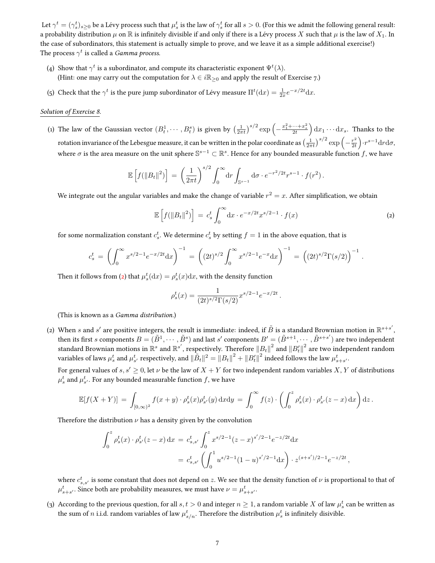Let  $\gamma^t=(\gamma_s^t)_{s\geq 0}$  be a Lévy process such that  $\mu_s^t$  is the law of  $\gamma_s^t$  for all  $s>0.$  (For this we admit the following general result: a probability distribution  $\mu$  on  $\mathbb R$  is infinitely divisible if and only if there is a Lévy process X such that  $\mu$  is the law of  $X_1$ . In the case of subordinators, this statement is actually simple to prove, and we leave it as a simple additional exercise!) The process  $\gamma^t$  is called a *Gamma process*.

- (4) Show that  $\gamma^t$  is a subordinator, and compute its characteristic exponent  $\Psi^t(\lambda)$ . (Hint: one may carry out the computation for  $\lambda \in i\mathbb{R}_{\geq 0}$  and apply the result of Exercise 7.)
- (5) Check that the  $\gamma^t$  is the pure jump subordinator of Lévy measure  $\Pi^t(\text{d}x) = \frac{1}{2x}e^{-x/2t}\text{d}x$ .

### Solution of Exercise 8.

(1) The law of the Gaussian vector  $(B_t^1,\cdots,B_t^s)$  is given by  $\left(\frac{1}{2\pi t}\right)^{s/2}\exp\left(-\frac{x_1^2+\cdots+x_s^2}{2t}\right)\mathrm{d} x_1\cdots\mathrm{d} x_s.$  Thanks to the rotation invariance of the Lebesgue measure, it can be written in the polar coordinate as  $\left(\frac{1}{2\pi t}\right)^{s/2}\exp\left(-\frac{r^2}{2t}\right)$  $\frac{r^2}{2t}$ ). $r^{s-1}$ drd $\sigma$ , where  $\sigma$  is the area measure on the unit sphere  $\mathbb{S}^{s-1}\subset\mathbb{R}^s$ . Hence for any bounded measurable function f, we have

$$
\mathbb{E}\left[f(\|B_t\|^2)\right] = \left(\frac{1}{2\pi t}\right)^{s/2} \int_0^\infty dr \int_{\mathbb{S}^{s-1}} d\sigma \cdot e^{-r^2/2t} r^{s-1} \cdot f(r^2).
$$

We integrate out the angular variables and make the change of variable  $r^2 = x$ . After simplification, we obtain

$$
\mathbb{E}\left[f(\|B_t\|^2)\right] = c_s^t \int_0^\infty dx \cdot e^{-x/2t} x^{s/2-1} \cdot f(x) \tag{2}
$$

<span id="page-6-0"></span>.

for some normalization constant  $c_s^t$ . We determine  $c_s^t$  by setting  $f = 1$  in the above equation, that is

$$
c_s^t = \left(\int_0^\infty x^{s/2 - 1} e^{-x/2t} dx\right)^{-1} = \left((2t)^{s/2} \int_0^\infty x^{s/2 - 1} e^{-x} dx\right)^{-1} = \left((2t)^{s/2} \Gamma(s/2)\right)^{-1}
$$

Then it follows from [\(2\)](#page-6-0) that  $\mu_s^t(\text{d}x) = \rho_s^t(x) \text{d}x$ , with the density function

$$
\rho_s^t(x)=\frac{1}{(2t)^{s/2}\Gamma(s/2)}x^{s/2-1}e^{-x/2t}\,.
$$

(This is known as a Gamma distribution.)

(2) When  $s$  and  $s'$  are positive integers, the result is immediate: indeed, if  $\tilde{B}$  is a standard Brownian motion in  $\mathbb{R}^{s+s'},$ then its first  $s$  components  $B=(\tilde{B}^1,\cdots,\tilde{B}^s)$  and last  $s'$  components  $B'=(\tilde{B}^{s+1},\cdots,\tilde{B}^{s+s'})$  are two independent standard Brownian motions in  $\R^s$  and  $\R^{s'}$ , respectively. Therefore  $\|B_t\|^2$  and  $\|B'_t\|^2$  are two independent random variables of laws  $\mu_s^t$  and  $\mu_{s'}^t$  respectively, and  $\|\tilde{B}_t\|^2=\|B_t\|^2+\|B_t'\|^2$  indeed follows the law  $\mu_{s+s'}^t$ .

For general values of  $s, s' \geq 0$ , let  $\nu$  be the law of  $X + Y$  for two independent random variables X, Y of distributions  $\mu_s^t$  and  $\mu_{s'}^t$ . For any bounded measurable function  $f$ , we have

$$
\mathbb{E}[f(X+Y)] = \int_{[0,\infty)^2} f(x+y) \cdot \rho_s^t(x)\rho_{s'}^t(y) \, \mathrm{d}x \mathrm{d}y = \int_0^\infty f(z) \cdot \left(\int_0^z \rho_s^t(x) \cdot \rho_{s'}^t(z-x) \, \mathrm{d}x\right) \mathrm{d}z.
$$

Therefore the distribution  $\nu$  has a density given by the convolution

$$
\int_0^z \rho_s^t(x) \cdot \rho_{s'}^t(z-x) dx = c_{s,s'}^t \int_0^z x^{s/2-1} (z-x)^{s'/2-1} e^{-z/2t} dx
$$
  
=  $c_{s,s'}^t \left( \int_0^1 u^{s/2-1} (1-u)^{s'/2-1} dx \right) \cdot z^{(s+s')/2-1} e^{-z/2t},$ 

where  $c_{s,s'}^t$  is some constant that does not depend on  $z$ . We see that the density function of  $\nu$  is proportional to that of  $\mu^t_{s+s'}$ . Since both are probability measures, we must have  $\nu=\mu^t_{s+s'}$ .

(3) According to the previous question, for all  $s,t>0$  and integer  $n\geq 1$ , a random variable  $X$  of law  $\mu_s^t$  can be written as the sum of  $n$  i.i.d. random variables of law  $\mu_{s/n}^t$ . Therefore the distribution  $\mu_s^t$  is infinitely disivible.